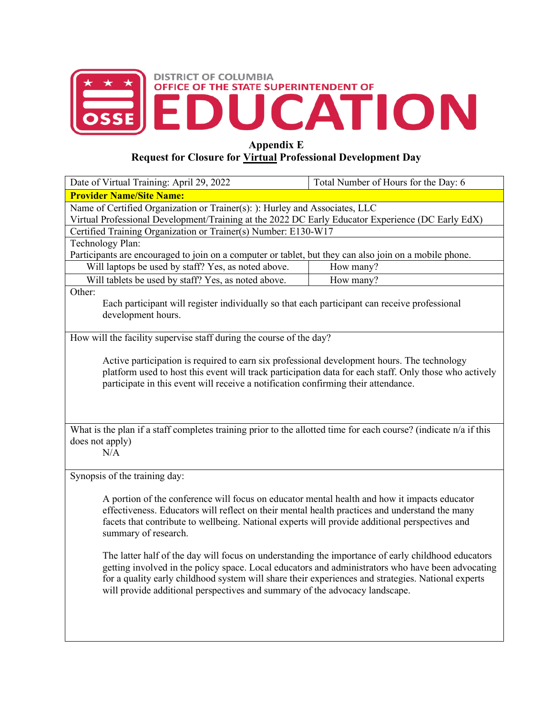

## **Appendix E**

## **Request for Closure for Virtual Professional Development Day**

| Date of Virtual Training: April 29, 2022                                                                                                                                                     | Total Number of Hours for the Day: 6 |  |
|----------------------------------------------------------------------------------------------------------------------------------------------------------------------------------------------|--------------------------------------|--|
| <b>Provider Name/Site Name:</b>                                                                                                                                                              |                                      |  |
| Name of Certified Organization or Trainer(s): ): Hurley and Associates, LLC                                                                                                                  |                                      |  |
| Virtual Professional Development/Training at the 2022 DC Early Educator Experience (DC Early EdX)                                                                                            |                                      |  |
| Certified Training Organization or Trainer(s) Number: E130-W17                                                                                                                               |                                      |  |
| Technology Plan:                                                                                                                                                                             |                                      |  |
| Participants are encouraged to join on a computer or tablet, but they can also join on a mobile phone.                                                                                       |                                      |  |
| Will laptops be used by staff? Yes, as noted above.                                                                                                                                          | How many?                            |  |
| Will tablets be used by staff? Yes, as noted above.                                                                                                                                          | How many?                            |  |
| Other:                                                                                                                                                                                       |                                      |  |
| Each participant will register individually so that each participant can receive professional                                                                                                |                                      |  |
| development hours.                                                                                                                                                                           |                                      |  |
|                                                                                                                                                                                              |                                      |  |
| How will the facility supervise staff during the course of the day?                                                                                                                          |                                      |  |
| Active participation is required to earn six professional development hours. The technology                                                                                                  |                                      |  |
|                                                                                                                                                                                              |                                      |  |
| platform used to host this event will track participation data for each staff. Only those who actively<br>participate in this event will receive a notification confirming their attendance. |                                      |  |
|                                                                                                                                                                                              |                                      |  |
|                                                                                                                                                                                              |                                      |  |
|                                                                                                                                                                                              |                                      |  |
| What is the plan if a staff completes training prior to the allotted time for each course? (indicate n/a if this                                                                             |                                      |  |
| does not apply)                                                                                                                                                                              |                                      |  |
| N/A                                                                                                                                                                                          |                                      |  |
|                                                                                                                                                                                              |                                      |  |
| Synopsis of the training day:                                                                                                                                                                |                                      |  |
|                                                                                                                                                                                              |                                      |  |
| A portion of the conference will focus on educator mental health and how it impacts educator                                                                                                 |                                      |  |
| effectiveness. Educators will reflect on their mental health practices and understand the many                                                                                               |                                      |  |
| facets that contribute to wellbeing. National experts will provide additional perspectives and                                                                                               |                                      |  |
| summary of research.                                                                                                                                                                         |                                      |  |
|                                                                                                                                                                                              |                                      |  |
| The latter half of the day will focus on understanding the importance of early childhood educators                                                                                           |                                      |  |
| getting involved in the policy space. Local educators and administrators who have been advocating                                                                                            |                                      |  |
| for a quality early childhood system will share their experiences and strategies. National experts                                                                                           |                                      |  |
| will provide additional perspectives and summary of the advocacy landscape.                                                                                                                  |                                      |  |
|                                                                                                                                                                                              |                                      |  |
|                                                                                                                                                                                              |                                      |  |